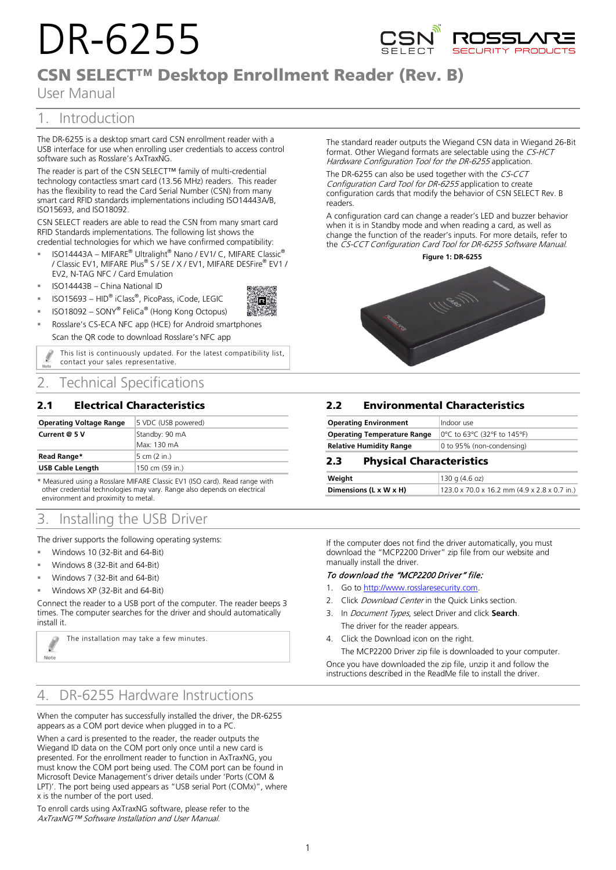# DR-6255



# CSN SELECT™ Desktop Enrollment Reader (Rev. B)

R

User Manual

# 1. Introduction

The DR‐6255 is a desktop smart card CSN enrollment reader with a USB interface for use when enrolling user credentials to access control software such as Rosslare's AxTraxNG.

The reader is part of the CSN SELECT™ family of multi-credential technology contactless smart card (13.56 MHz) readers. This reader has the flexibility to read the Card Serial Number (CSN) from many smart card RFID standards implementations including ISO14443A/B, ISO15693, and ISO18092.

CSN SELECT readers are able to read the CSN from many smart card RFID Standards implementations. The following list shows the credential technologies for which we have confirmed compatibility:

- ISO14443A MIFARE® Ultralight® Nano / EV1/ C, MIFARE Classic® / Classic EV1, MIFARE Plus® S / SE / X / EV1, MIFARE DESFire® EV1 / EV2, N-TAG NFC / Card Emulation
- ISO14443B China National ID

Í

Note

- ISO15693 HID® iClass®, PicoPass, iCode, LEGIC
- ISO18092 SONY® FeliCa® (Hong Kong Octopus)
- Rosslare's CS-ECA NFC app (HCE) for Android smartphones Scan the QR code to download Rosslare's NFC app

This list is continuously updated. For the latest compatibility list, contact your sales representative.

## 2. Technical Specifications

## 2.1 Electrical Characteristics

| <b>Operating Voltage Range</b> | 5 VDC (USB powered) |  |
|--------------------------------|---------------------|--|
| Current @ 5 V                  | Standby: 90 mA      |  |
|                                | Max: 130 mA         |  |
| Read Range*                    | 5 cm (2 in.)        |  |
| <b>USB Cable Length</b>        | 150 cm (59 in.)     |  |

\* Measured using a Rosslare MIFARE Classic EV1 (ISO card). Read range with other credential technologies may vary. Range also depends on electrical environment and proximity to metal.

## 3. Installing the USB Driver

The driver supports the following operating systems:

- Windows 10 (32-Bit and 64-Bit)
- Windows 8 (32-Bit and 64-Bit)
- Windows 7 (32-Bit and 64-Bit)
- Windows XP (32-Bit and 64-Bit)

Connect the reader to a USB port of the computer. The reader beeps 3 times. The computer searches for the driver and should automatically install it.

The installation may take a few minutes.

## 4. DR-6255 Hardware Instructions

When the computer has successfully installed the driver, the DR-6255 appears as a COM port device when plugged in to a PC.

When a card is presented to the reader, the reader outputs the Wiegand ID data on the COM port only once until a new card is presented. For the enrollment reader to function in AxTraxNG, you must know the COM port being used. The COM port can be found in Microsoft Device Management's driver details under 'Ports (COM & LPT)'. The port being used appears as "USB serial Port (COMx)", where x is the number of the port used.

To enroll cards using AxTraxNG software, please refer to the AxTraxNG™ Software Installation and User Manual.

The standard reader outputs the Wiegand CSN data in Wiegand 26-Bit format. Other Wiegand formats are selectable using the CS-HCT Hardware Configuration Tool for the DR-6255 application.

The DR-6255 can also be used together with the CS-CCT Configuration Card Tool for DR-6255 application to create configuration cards that modify the behavior of CSN SELECT Rev. B readers.

A configuration card can change a reader's LED and buzzer behavior when it is in Standby mode and when reading a card, as well as change the function of the reader's inputs. For more details, refer to the CS-CCT Configuration Card Tool for DR-6255 Software Manual.

**Figure 1: DR-6255**



## 2.2 **Environmental Characteristics**

| <b>Operating Environment</b>       | Indoor use                  |
|------------------------------------|-----------------------------|
| <b>Operating Temperature Range</b> | 0°C to 63°C (32°F to 145°F) |
| <b>Relative Humidity Range</b>     | 0 to 95% (non-condensing)   |

## 2.3 **Physical Characteristics**

| Weight                 | 130q(4.6oz)                                              |
|------------------------|----------------------------------------------------------|
| Dimensions (L x W x H) | $123.0 \times 70.0 \times 16.2$ mm (4.9 x 2.8 x 0.7 in.) |

If the computer does not find the driver automatically, you must download the "MCP2200 Driver" zip file from our website and manually install the driver.

### To download the "MCP2200 Driver" file:

- 1. Go to [http://www.rosslaresecurity.com.](http://www.rosslaresecurity.com/)
- 2. Click Download Center in the Quick Links section.
- 3. In Document Types, select Driver and click **Search**. The driver for the reader appears.
- 4. Click the Download icon on the right.

The MCP2200 Driver zip file is downloaded to your computer. Once you have downloaded the zip file, unzip it and follow the instructions described in the ReadMe file to install the driver.